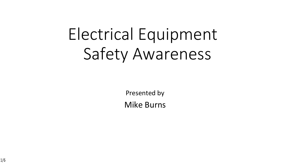# Electrical Equipment Safety Awareness

Presented by

Mike Burns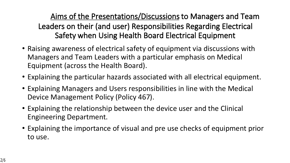#### **Aims of the Presentations/Discussions to Managers and Team Leaders on their (and user) Responsibilities Regarding Electrical Safety when Using Health Board Electrical Equipment**

- Raising awareness of electrical safety of equipment via discussions with Managers and Team Leaders with a particular emphasis on Medical Equipment (across the Health Board).
- Explaining the particular hazards associated with all electrical equipment.
- Explaining Managers and Users responsibilities in line with the Medical Device Management Policy (Policy 467).
- Explaining the relationship between the device user and the Clinical Engineering Department.
- Explaining the importance of visual and pre use checks of equipment prior to use.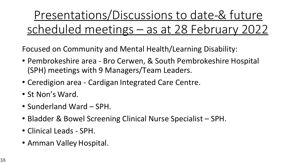Presentations/Discussions to date-& future scheduled meetings – as at 28 February 2022

Focused on Community and Mental Health/Learning Disability:

- Pembrokeshire area Bro Cerwen, & South Pembrokeshire Hospital (SPH) meetings with 9 Managers/Team Leaders.
- Ceredigion area Cardigan Integrated Care Centre.
- St Non's Ward.
- Sunderland Ward SPH.
- Bladder & Bowel Screening Clinical Nurse Specialist SPH.
- Clinical Leads SPH.
- Amman Valley Hospital.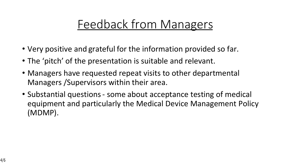## Feedback from Managers

- Very positive and grateful for the information provided so far.
- The 'pitch' of the presentation is suitable and relevant.
- Managers have requested repeat visits to other departmental Managers /Supervisors within their area.
- Substantial questions some about acceptance testing of medical equipment and particularly the Medical Device Management Policy (MDMP).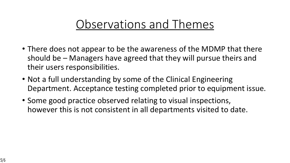#### Observations and Themes

- There does not appear to be the awareness of the MDMP that there should be – Managers have agreed that they will pursue theirs and their users responsibilities.
- Not a full understanding by some of the Clinical Engineering Department. Acceptance testing completed prior to equipment issue.
- Some good practice observed relating to visual inspections, however this is not consistent in all departments visited to date.